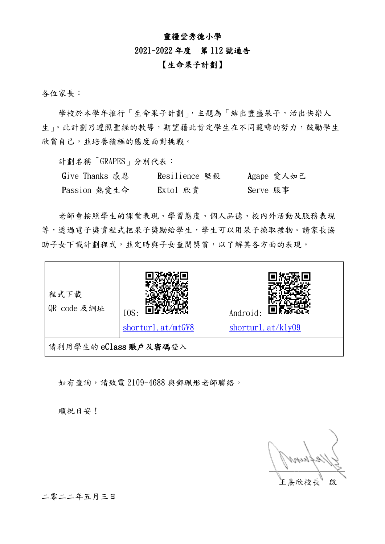### 靈糧堂秀德小學

#### 2021-2022 年度 第 112 號通告

## 【生命果子計劃】

各位家長:

學校於本學年推行「生命果子計劃」,主題為「結出豐盛果子,活出快樂人 生」。此計劃乃遵照聖經的教導,期望藉此肯定學生在不同範疇的努力,鼓勵學生 欣賞自己,並培養積極的態度面對挑戰。

計劃名稱「GRAPES」分別代表︰

| Give Thanks 感恩 | Resilience 堅毅 | Agape 愛人如己 |
|----------------|---------------|------------|
| Passion 熱愛生命   | Extol 欣賞      | Serve 服事   |

老師會按照學生的課堂表現、學習態度、個人品德、校內外活動及服務表現 等,透過電子獎賞程式把果子獎勵給學生,學生可以用果子換取禮物。請家長協 助子女下載計劃程式,並定時與子女查閱獎賞,以了解其各方面的表現。



如有查詢,請致電 2109-4688 與鄧珮彤老師聯絡。

順祝日安!

 $\mathbb{Z}^N$  /  $\mathbb{Z}$ 王熹欣校長 啟

二零二二年五月三日